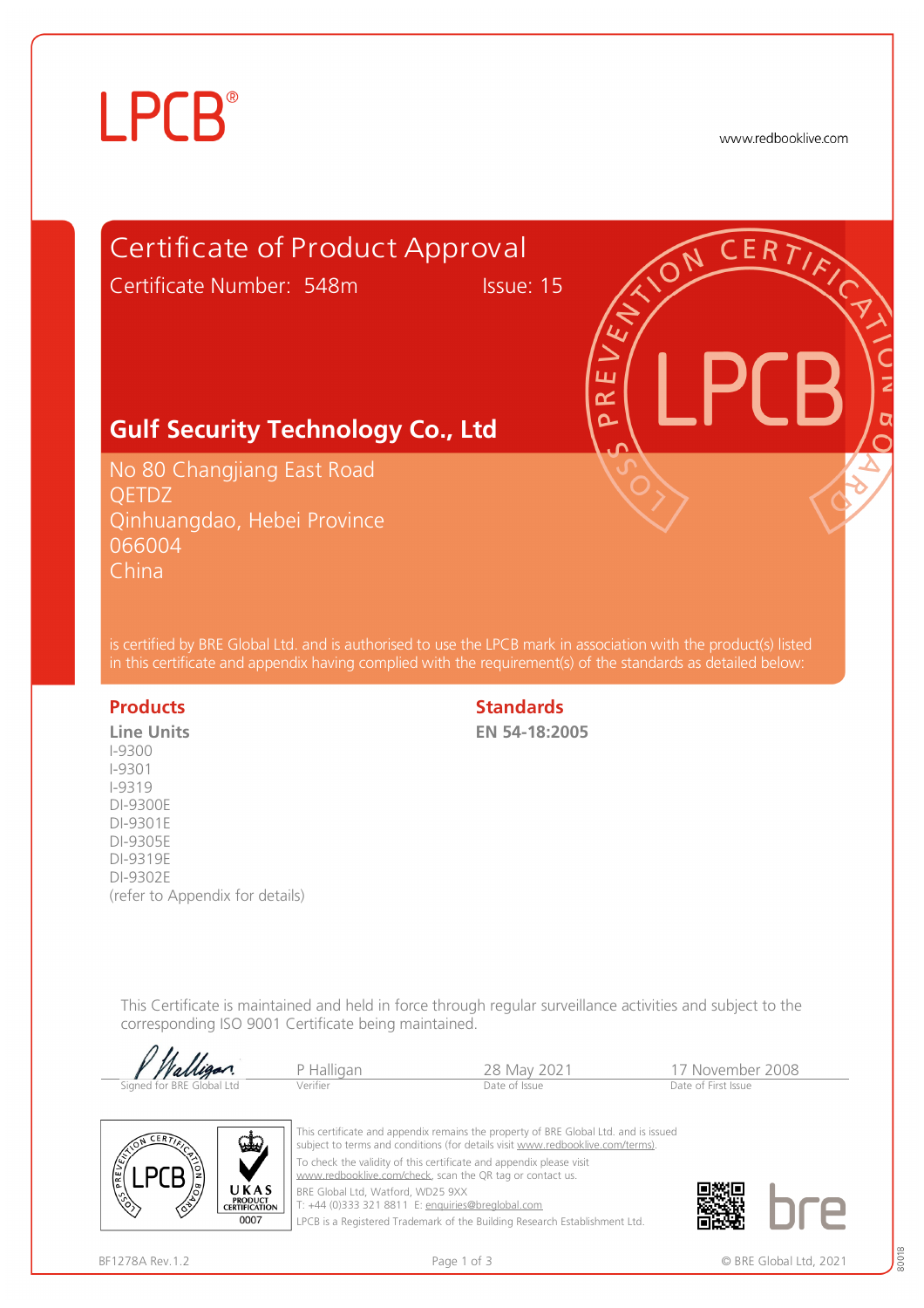# **LPCB**®

www.redbooklive.com

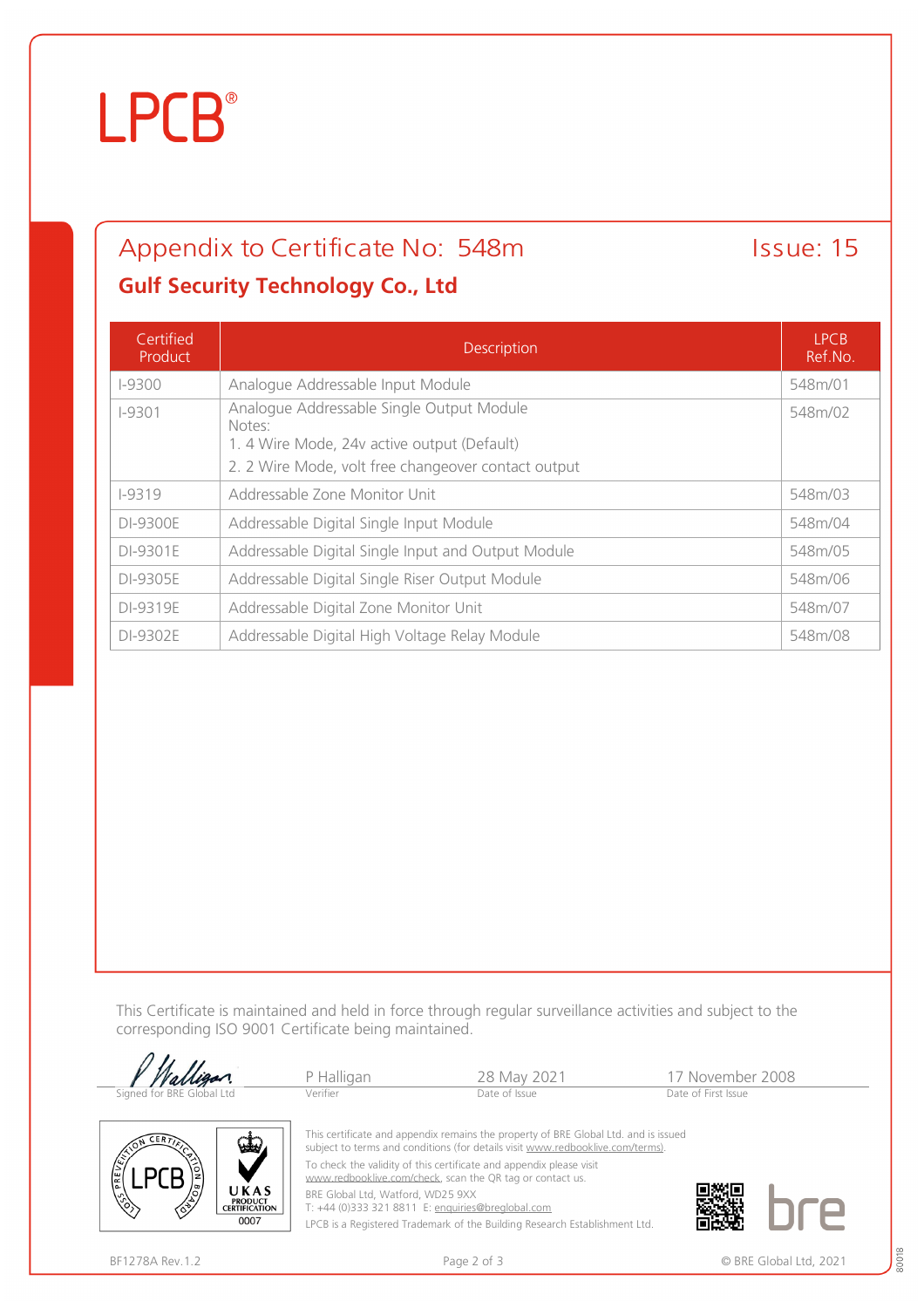## **LPCB**®

### Appendix to Certificate No: 548m Issue: 15 **Gulf Security Technology Co., Ltd**

#### Certified Product Description LPCB Ref.No. I-9300 Analogue Addressable Input Module 648 Analogue Addressable Input Module 648m/01 I-9301 Analogue Addressable Single Output Module Notes: 1. 4 Wire Mode, 24v active output (Default) 2. 2 Wire Mode, volt free changeover contact output 548m/02 I-9319 Addressable Zone Monitor Unit 548m/03 DI-9300E Addressable Digital Single Input Module 548m/04 DI-9301E Addressable Digital Single Input and Output Module 548m/05 DI-9305E Addressable Digital Single Riser Output Module 548m/06 DI-9319E Addressable Digital Zone Monitor Unit 548m/07 DI-9302E | Addressable Digital High Voltage Relay Module | S48m/08

This Certificate is maintained and held in force through regular surveillance activities and subject to the corresponding ISO 9001 Certificate being maintained.

|                           | P Halligan                                                                          | 28 May 2021                                                                                                                                                           | 17 November 2008    |  |  |
|---------------------------|-------------------------------------------------------------------------------------|-----------------------------------------------------------------------------------------------------------------------------------------------------------------------|---------------------|--|--|
| Signed for BRE Global Ltd | Verifier                                                                            | Date of Issue                                                                                                                                                         | Date of First Issue |  |  |
| $CER$ $\overline{Y}$      | سلما                                                                                | This certificate and appendix remains the property of BRE Global Ltd. and is issued<br>subject to terms and conditions (for details visit www.redbooklive.com/terms). |                     |  |  |
| <b>COST PREVENT</b>       |                                                                                     | To check the validity of this certificate and appendix please visit<br>www.redbooklive.com/check, scan the QR tag or contact us.                                      |                     |  |  |
| 伦                         | UKAS<br>BRE Global Ltd, Watford, WD25 9XX<br><b>PRODUCT</b><br><b>CERTIFICATION</b> | T: +44 (0)333 321 8811 E: enquiries@breglobal.com                                                                                                                     |                     |  |  |

T: +44 (0)333 321 8811 E: [enquiries@breglobal.com](mailto:enquiries@breglobal.com)

LPCB is a Registered Trademark of the Building Research Establishment Ltd.

 $0007$ 

80018